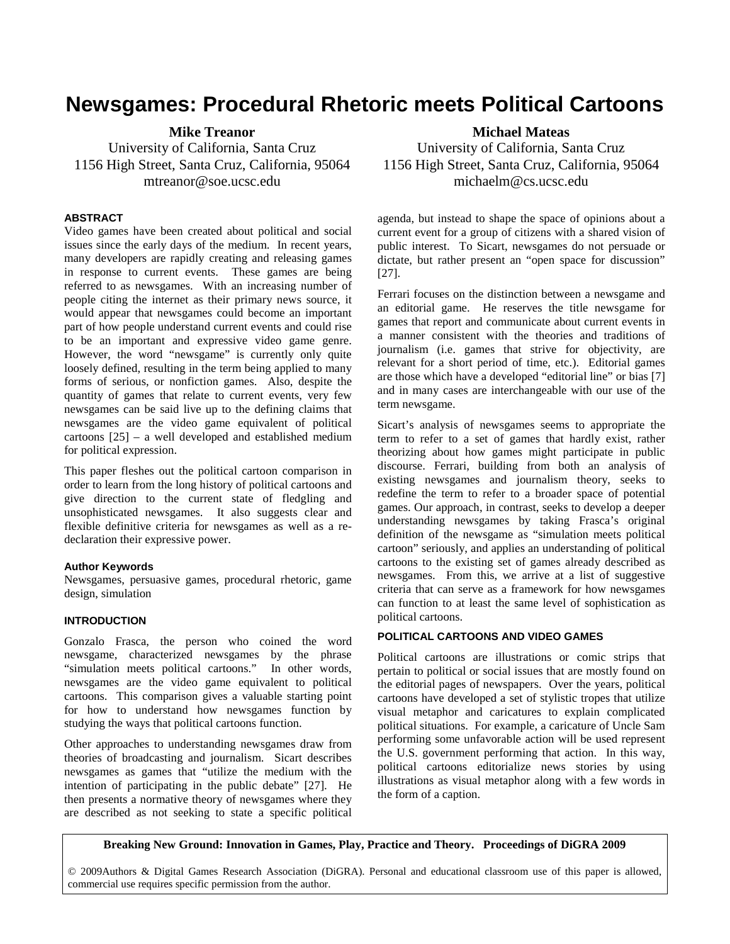# **Newsgames: Procedural Rhetoric meets Political Cartoons**

**Mike Treanor**  University of California, Santa Cruz 1156 High Street, Santa Cruz, California, 95064 mtreanor@soe.ucsc.edu

#### **ABSTRACT**

Video games have been created about political and social issues since the early days of the medium. In recent years, many developers are rapidly creating and releasing games in response to current events. These games are being referred to as newsgames. With an increasing number of people citing the internet as their primary news source, it would appear that newsgames could become an important part of how people understand current events and could rise to be an important and expressive video game genre. However, the word "newsgame" is currently only quite loosely defined, resulting in the term being applied to many forms of serious, or nonfiction games. Also, despite the quantity of games that relate to current events, very few newsgames can be said live up to the defining claims that newsgames are the video game equivalent of political cartoons [25] – a well developed and established medium for political expression.

This paper fleshes out the political cartoon comparison in order to learn from the long history of political cartoons and give direction to the current state of fledgling and unsophisticated newsgames. It also suggests clear and flexible definitive criteria for newsgames as well as a redeclaration their expressive power.

#### **Author Keywords**

Newsgames, persuasive games, procedural rhetoric, game design, simulation

## **INTRODUCTION**

Gonzalo Frasca, the person who coined the word newsgame, characterized newsgames by the phrase "simulation meets political cartoons." In other words, newsgames are the video game equivalent to political cartoons. This comparison gives a valuable starting point for how to understand how newsgames function by studying the ways that political cartoons function.

Other approaches to understanding newsgames draw from theories of broadcasting and journalism. Sicart describes newsgames as games that "utilize the medium with the intention of participating in the public debate" [27]. He then presents a normative theory of newsgames where they are described as not seeking to state a specific political **Michael Mateas** 

University of California, Santa Cruz 1156 High Street, Santa Cruz, California, 95064 michaelm@cs.ucsc.edu

agenda, but instead to shape the space of opinions about a current event for a group of citizens with a shared vision of public interest. To Sicart, newsgames do not persuade or dictate, but rather present an "open space for discussion" [27].

Ferrari focuses on the distinction between a newsgame and an editorial game. He reserves the title newsgame for games that report and communicate about current events in a manner consistent with the theories and traditions of journalism (i.e. games that strive for objectivity, are relevant for a short period of time, etc.). Editorial games are those which have a developed "editorial line" or bias [7] and in many cases are interchangeable with our use of the term newsgame.

Sicart's analysis of newsgames seems to appropriate the term to refer to a set of games that hardly exist, rather theorizing about how games might participate in public discourse. Ferrari, building from both an analysis of existing newsgames and journalism theory, seeks to redefine the term to refer to a broader space of potential games. Our approach, in contrast, seeks to develop a deeper understanding newsgames by taking Frasca's original definition of the newsgame as "simulation meets political cartoon" seriously, and applies an understanding of political cartoons to the existing set of games already described as newsgames. From this, we arrive at a list of suggestive criteria that can serve as a framework for how newsgames can function to at least the same level of sophistication as political cartoons.

#### **POLITICAL CARTOONS AND VIDEO GAMES**

Political cartoons are illustrations or comic strips that pertain to political or social issues that are mostly found on the editorial pages of newspapers. Over the years, political cartoons have developed a set of stylistic tropes that utilize visual metaphor and caricatures to explain complicated political situations. For example, a caricature of Uncle Sam performing some unfavorable action will be used represent the U.S. government performing that action. In this way, political cartoons editorialize news stories by using illustrations as visual metaphor along with a few words in the form of a caption.

**Breaking New Ground: Innovation in Games, Play, Practice and Theory. Proceedings of DiGRA 2009**

© 2009Authors & Digital Games Research Association (DiGRA). Personal and educational classroom use of this paper is allowed, commercial use requires specific permission from the author.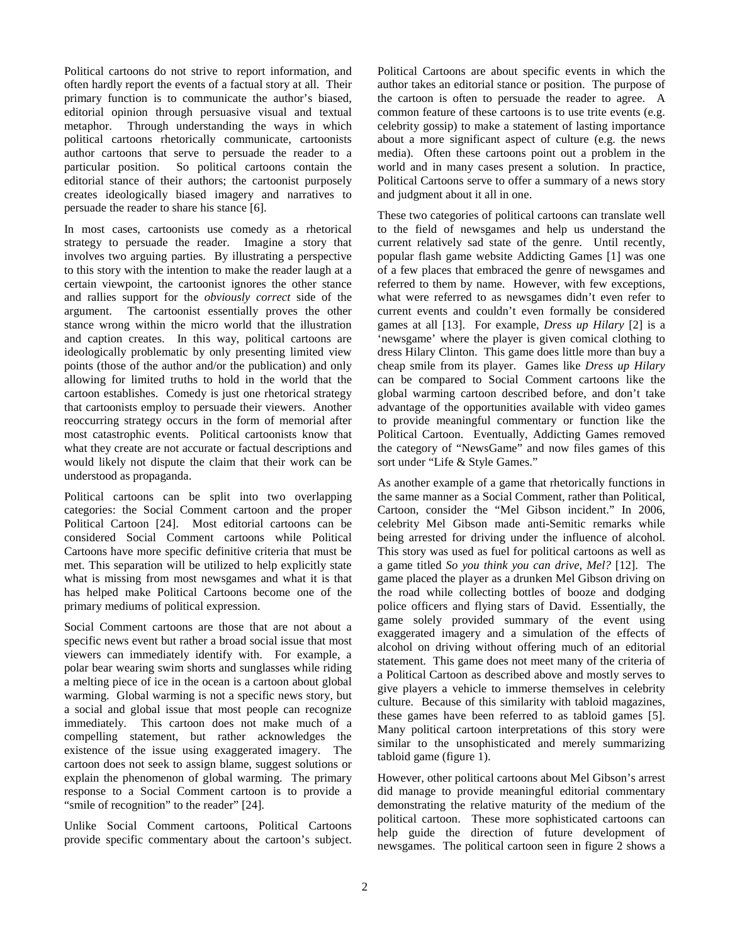Political cartoons do not strive to report information, and often hardly report the events of a factual story at all. Their primary function is to communicate the author's biased, editorial opinion through persuasive visual and textual metaphor. Through understanding the ways in which political cartoons rhetorically communicate, cartoonists author cartoons that serve to persuade the reader to a particular position. So political cartoons contain the editorial stance of their authors; the cartoonist purposely creates ideologically biased imagery and narratives to persuade the reader to share his stance [6].

In most cases, cartoonists use comedy as a rhetorical strategy to persuade the reader. Imagine a story that involves two arguing parties. By illustrating a perspective to this story with the intention to make the reader laugh at a certain viewpoint, the cartoonist ignores the other stance and rallies support for the *obviously correct* side of the argument. The cartoonist essentially proves the other stance wrong within the micro world that the illustration and caption creates. In this way, political cartoons are ideologically problematic by only presenting limited view points (those of the author and/or the publication) and only allowing for limited truths to hold in the world that the cartoon establishes. Comedy is just one rhetorical strategy that cartoonists employ to persuade their viewers. Another reoccurring strategy occurs in the form of memorial after most catastrophic events. Political cartoonists know that what they create are not accurate or factual descriptions and would likely not dispute the claim that their work can be understood as propaganda.

Political cartoons can be split into two overlapping categories: the Social Comment cartoon and the proper Political Cartoon [24]. Most editorial cartoons can be considered Social Comment cartoons while Political Cartoons have more specific definitive criteria that must be met. This separation will be utilized to help explicitly state what is missing from most newsgames and what it is that has helped make Political Cartoons become one of the primary mediums of political expression.

Social Comment cartoons are those that are not about a specific news event but rather a broad social issue that most viewers can immediately identify with. For example, a polar bear wearing swim shorts and sunglasses while riding a melting piece of ice in the ocean is a cartoon about global warming. Global warming is not a specific news story, but a social and global issue that most people can recognize immediately. This cartoon does not make much of a compelling statement, but rather acknowledges the existence of the issue using exaggerated imagery. The cartoon does not seek to assign blame, suggest solutions or explain the phenomenon of global warming. The primary response to a Social Comment cartoon is to provide a "smile of recognition" to the reader" [24].

Unlike Social Comment cartoons, Political Cartoons provide specific commentary about the cartoon's subject.

Political Cartoons are about specific events in which the author takes an editorial stance or position. The purpose of the cartoon is often to persuade the reader to agree. A common feature of these cartoons is to use trite events (e.g. celebrity gossip) to make a statement of lasting importance about a more significant aspect of culture (e.g. the news media). Often these cartoons point out a problem in the world and in many cases present a solution. In practice, Political Cartoons serve to offer a summary of a news story and judgment about it all in one.

These two categories of political cartoons can translate well to the field of newsgames and help us understand the current relatively sad state of the genre. Until recently, popular flash game website Addicting Games [1] was one of a few places that embraced the genre of newsgames and referred to them by name. However, with few exceptions, what were referred to as newsgames didn't even refer to current events and couldn't even formally be considered games at all [13]. For example, *Dress up Hilary* [2] is a 'newsgame' where the player is given comical clothing to dress Hilary Clinton. This game does little more than buy a cheap smile from its player. Games like *Dress up Hilary*  can be compared to Social Comment cartoons like the global warming cartoon described before, and don't take advantage of the opportunities available with video games to provide meaningful commentary or function like the Political Cartoon. Eventually, Addicting Games removed the category of "NewsGame" and now files games of this sort under "Life & Style Games."

As another example of a game that rhetorically functions in the same manner as a Social Comment, rather than Political, Cartoon, consider the "Mel Gibson incident." In 2006, celebrity Mel Gibson made anti-Semitic remarks while being arrested for driving under the influence of alcohol. This story was used as fuel for political cartoons as well as a game titled *So you think you can drive, Mel?* [12]. The game placed the player as a drunken Mel Gibson driving on the road while collecting bottles of booze and dodging police officers and flying stars of David. Essentially, the game solely provided summary of the event using exaggerated imagery and a simulation of the effects of alcohol on driving without offering much of an editorial statement. This game does not meet many of the criteria of a Political Cartoon as described above and mostly serves to give players a vehicle to immerse themselves in celebrity culture. Because of this similarity with tabloid magazines, these games have been referred to as tabloid games [5]. Many political cartoon interpretations of this story were similar to the unsophisticated and merely summarizing tabloid game (figure 1).

However, other political cartoons about Mel Gibson's arrest did manage to provide meaningful editorial commentary demonstrating the relative maturity of the medium of the political cartoon. These more sophisticated cartoons can help guide the direction of future development of newsgames. The political cartoon seen in figure 2 shows a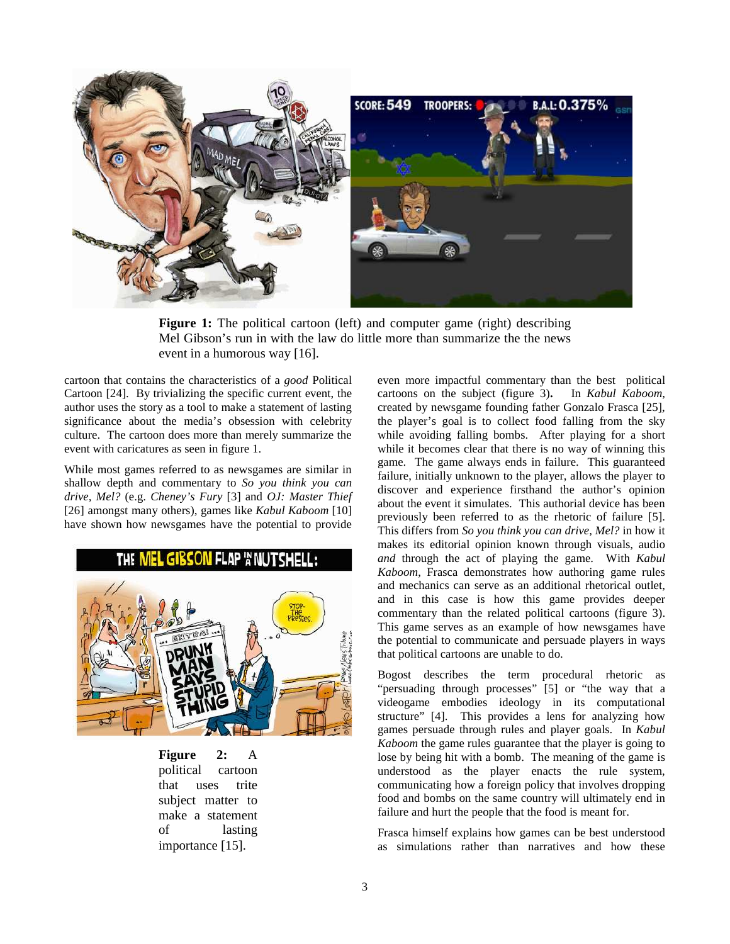

**Figure 1:** The political cartoon (left) and computer game (right) describing Mel Gibson's run in with the law do little more than summarize the the news event in a humorous way [16].

cartoon that contains the characteristics of a *good* Political Cartoon [24]. By trivializing the specific current event, the author uses the story as a tool to make a statement of lasting significance about the media's obsession with celebrity culture. The cartoon does more than merely summarize the event with caricatures as seen in figure 1.

While most games referred to as newsgames are similar in shallow depth and commentary to *So you think you can drive, Mel?* (e.g. *Cheney's Fury* [3] and *OJ: Master Thief*  [26] amongst many others), games like *Kabul Kaboom* [10] have shown how newsgames have the potential to provide



**Figure 2:** A political cartoon that uses trite subject matter to make a statement of lasting importance [15].

even more impactful commentary than the best political cartoons on the subject (figure 3)**.** In *Kabul Kaboom*, created by newsgame founding father Gonzalo Frasca [25], the player's goal is to collect food falling from the sky while avoiding falling bombs. After playing for a short while it becomes clear that there is no way of winning this game. The game always ends in failure. This guaranteed failure, initially unknown to the player, allows the player to discover and experience firsthand the author's opinion about the event it simulates. This authorial device has been previously been referred to as the rhetoric of failure [5]. This differs from *So you think you can drive, Mel?* in how it makes its editorial opinion known through visuals, audio *and* through the act of playing the game. With *Kabul Kaboom*, Frasca demonstrates how authoring game rules and mechanics can serve as an additional rhetorical outlet, and in this case is how this game provides deeper commentary than the related political cartoons (figure 3). This game serves as an example of how newsgames have the potential to communicate and persuade players in ways that political cartoons are unable to do.

Bogost describes the term procedural rhetoric as "persuading through processes" [5] or "the way that a videogame embodies ideology in its computational structure" [4]. This provides a lens for analyzing how games persuade through rules and player goals. In *Kabul Kaboom* the game rules guarantee that the player is going to lose by being hit with a bomb. The meaning of the game is understood as the player enacts the rule system, communicating how a foreign policy that involves dropping food and bombs on the same country will ultimately end in failure and hurt the people that the food is meant for.

Frasca himself explains how games can be best understood as simulations rather than narratives and how these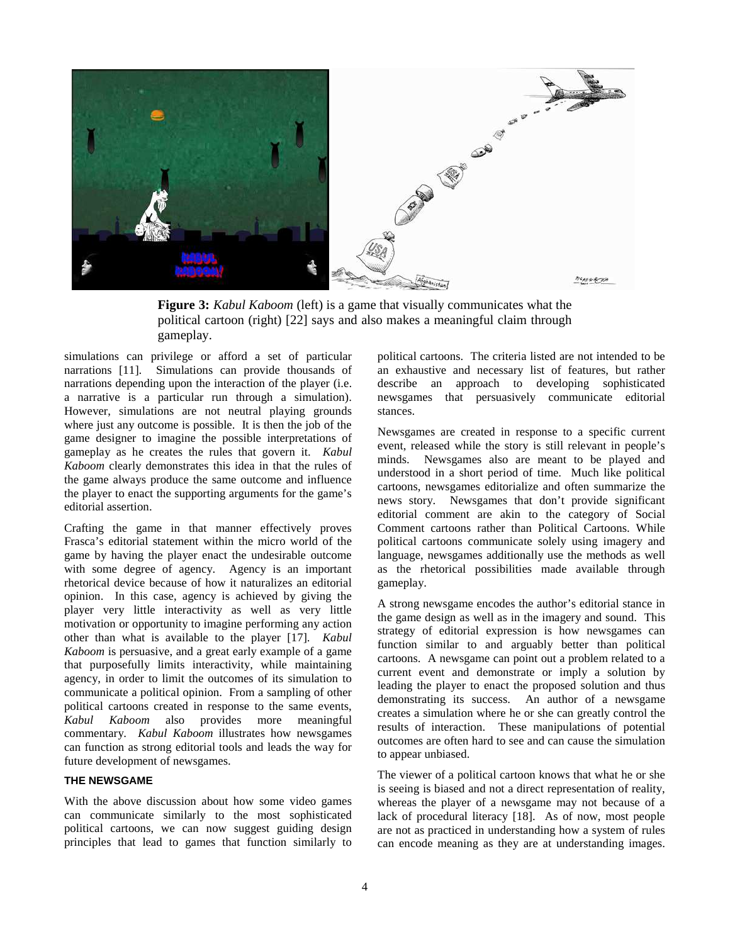

**Figure 3:** *Kabul Kaboom* (left) is a game that visually communicates what the political cartoon (right) [22] says and also makes a meaningful claim through gameplay.

simulations can privilege or afford a set of particular narrations [11]. Simulations can provide thousands of narrations depending upon the interaction of the player (i.e. a narrative is a particular run through a simulation). However, simulations are not neutral playing grounds where just any outcome is possible. It is then the job of the game designer to imagine the possible interpretations of gameplay as he creates the rules that govern it. *Kabul Kaboom* clearly demonstrates this idea in that the rules of the game always produce the same outcome and influence the player to enact the supporting arguments for the game's editorial assertion.

Crafting the game in that manner effectively proves Frasca's editorial statement within the micro world of the game by having the player enact the undesirable outcome with some degree of agency. Agency is an important rhetorical device because of how it naturalizes an editorial opinion. In this case, agency is achieved by giving the player very little interactivity as well as very little motivation or opportunity to imagine performing any action other than what is available to the player [17]. *Kabul Kaboom* is persuasive, and a great early example of a game that purposefully limits interactivity, while maintaining agency, in order to limit the outcomes of its simulation to communicate a political opinion. From a sampling of other political cartoons created in response to the same events, *Kabul Kaboom* also provides more meaningful commentary. *Kabul Kaboom* illustrates how newsgames can function as strong editorial tools and leads the way for future development of newsgames.

## **THE NEWSGAME**

With the above discussion about how some video games can communicate similarly to the most sophisticated political cartoons, we can now suggest guiding design principles that lead to games that function similarly to political cartoons. The criteria listed are not intended to be an exhaustive and necessary list of features, but rather describe an approach to developing sophisticated newsgames that persuasively communicate editorial stances.

Newsgames are created in response to a specific current event, released while the story is still relevant in people's minds. Newsgames also are meant to be played and understood in a short period of time. Much like political cartoons, newsgames editorialize and often summarize the news story. Newsgames that don't provide significant editorial comment are akin to the category of Social Comment cartoons rather than Political Cartoons. While political cartoons communicate solely using imagery and language, newsgames additionally use the methods as well as the rhetorical possibilities made available through gameplay.

A strong newsgame encodes the author's editorial stance in the game design as well as in the imagery and sound. This strategy of editorial expression is how newsgames can function similar to and arguably better than political cartoons. A newsgame can point out a problem related to a current event and demonstrate or imply a solution by leading the player to enact the proposed solution and thus demonstrating its success. An author of a newsgame creates a simulation where he or she can greatly control the results of interaction. These manipulations of potential outcomes are often hard to see and can cause the simulation to appear unbiased.

The viewer of a political cartoon knows that what he or she is seeing is biased and not a direct representation of reality, whereas the player of a newsgame may not because of a lack of procedural literacy [18]. As of now, most people are not as practiced in understanding how a system of rules can encode meaning as they are at understanding images.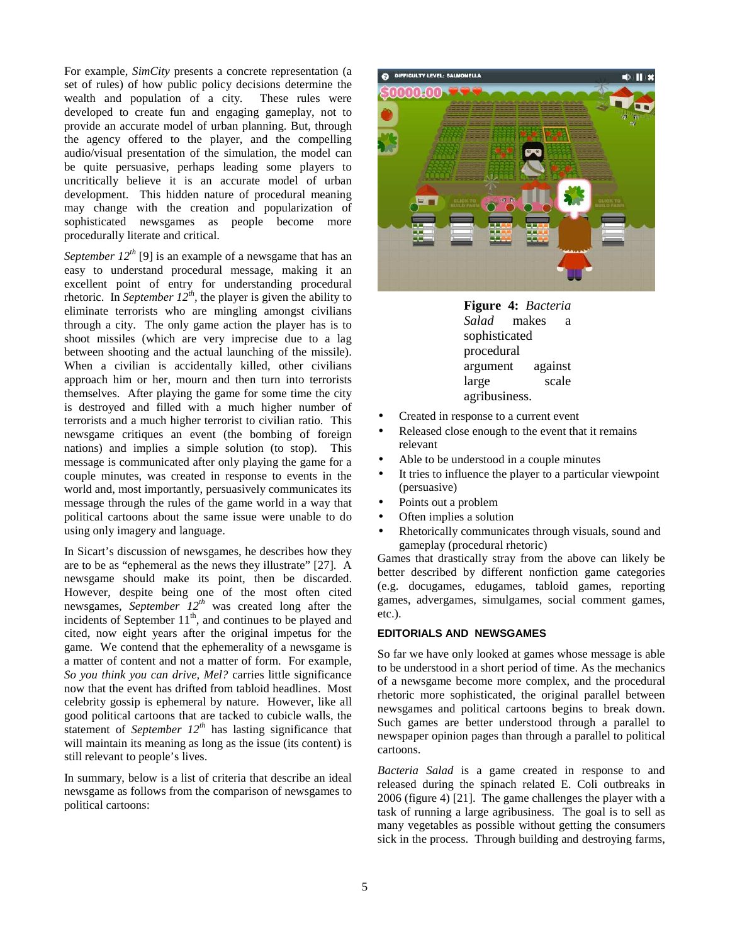For example, *SimCity* presents a concrete representation (a set of rules) of how public policy decisions determine the wealth and population of a city. These rules were wealth and population of a city. developed to create fun and engaging gameplay, not to provide an accurate model of urban planning. But, through the agency offered to the player, and the compelling audio/visual presentation of the simulation, the model can be quite persuasive, perhaps leading some players to uncritically believe it is an accurate model of urban development. This hidden nature of procedural meaning may change with the creation and popularization of sophisticated newsgames as people become more procedurally literate and critical.

*September 12<sup>th</sup>* [9] is an example of a newsgame that has an easy to understand procedural message, making it an excellent point of entry for understanding procedural rhetoric. In *September 12<sup>th</sup>*, the player is given the ability to eliminate terrorists who are mingling amongst civilians through a city. The only game action the player has is to shoot missiles (which are very imprecise due to a lag between shooting and the actual launching of the missile). When a civilian is accidentally killed, other civilians approach him or her, mourn and then turn into terrorists themselves. After playing the game for some time the city is destroyed and filled with a much higher number of terrorists and a much higher terrorist to civilian ratio. This newsgame critiques an event (the bombing of foreign nations) and implies a simple solution (to stop). This message is communicated after only playing the game for a couple minutes, was created in response to events in the world and, most importantly, persuasively communicates its message through the rules of the game world in a way that political cartoons about the same issue were unable to do using only imagery and language.

In Sicart's discussion of newsgames, he describes how they are to be as "ephemeral as the news they illustrate" [27]. A newsgame should make its point, then be discarded. However, despite being one of the most often cited newsgames, *September 12th* was created long after the incidents of September  $11<sup>th</sup>$ , and continues to be played and cited, now eight years after the original impetus for the game. We contend that the ephemerality of a newsgame is a matter of content and not a matter of form. For example, *So you think you can drive, Mel?* carries little significance now that the event has drifted from tabloid headlines. Most celebrity gossip is ephemeral by nature. However, like all good political cartoons that are tacked to cubicle walls, the statement of *September 12th* has lasting significance that will maintain its meaning as long as the issue (its content) is still relevant to people's lives.

In summary, below is a list of criteria that describe an ideal newsgame as follows from the comparison of newsgames to political cartoons:



**Figure 4:** *Bacteria Salad* makes a sophisticated procedural argument against large scale agribusiness.

- Created in response to a current event
- Released close enough to the event that it remains relevant
- Able to be understood in a couple minutes
- It tries to influence the player to a particular viewpoint (persuasive)
- Points out a problem
- Often implies a solution
- Rhetorically communicates through visuals, sound and gameplay (procedural rhetoric)

Games that drastically stray from the above can likely be better described by different nonfiction game categories (e.g. docugames, edugames, tabloid games, reporting games, advergames, simulgames, social comment games, etc.).

## **EDITORIALS AND NEWSGAMES**

So far we have only looked at games whose message is able to be understood in a short period of time. As the mechanics of a newsgame become more complex, and the procedural rhetoric more sophisticated, the original parallel between newsgames and political cartoons begins to break down. Such games are better understood through a parallel to newspaper opinion pages than through a parallel to political cartoons.

*Bacteria Salad* is a game created in response to and released during the spinach related E. Coli outbreaks in 2006 (figure 4) [21]. The game challenges the player with a task of running a large agribusiness. The goal is to sell as many vegetables as possible without getting the consumers sick in the process. Through building and destroying farms,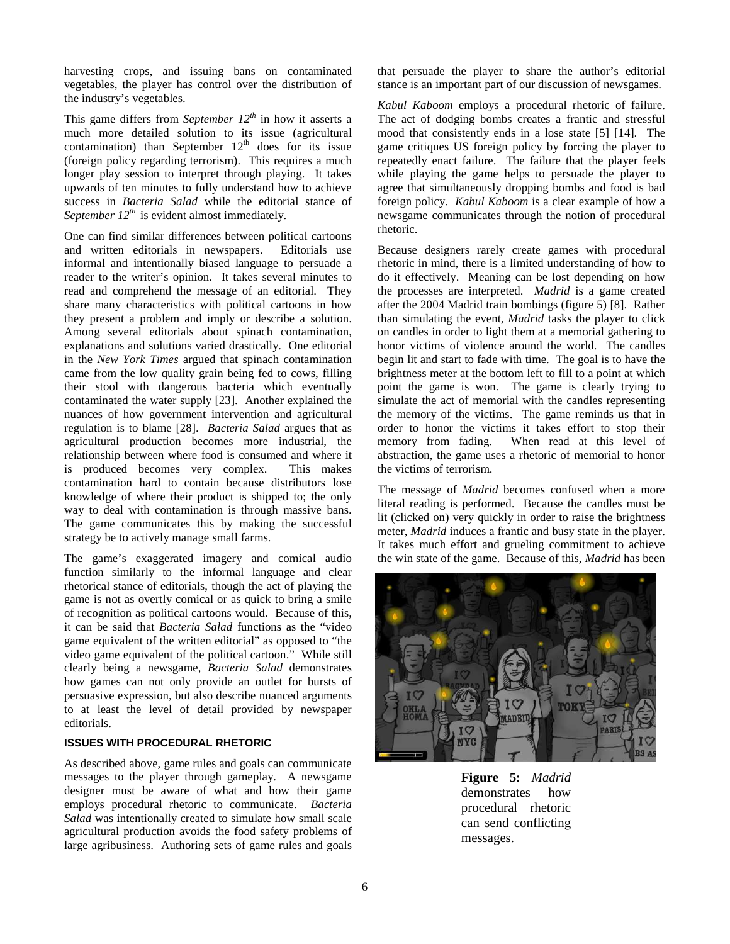harvesting crops, and issuing bans on contaminated vegetables, the player has control over the distribution of the industry's vegetables.

This game differs from *September*  $12^{th}$  in how it asserts a much more detailed solution to its issue (agricultural contamination) than September  $12<sup>th</sup>$  does for its issue (foreign policy regarding terrorism). This requires a much longer play session to interpret through playing. It takes upwards of ten minutes to fully understand how to achieve success in *Bacteria Salad* while the editorial stance of *September 12th* is evident almost immediately.

One can find similar differences between political cartoons and written editorials in newspapers. Editorials use informal and intentionally biased language to persuade a reader to the writer's opinion. It takes several minutes to read and comprehend the message of an editorial. They share many characteristics with political cartoons in how they present a problem and imply or describe a solution. Among several editorials about spinach contamination, explanations and solutions varied drastically. One editorial in the *New York Times* argued that spinach contamination came from the low quality grain being fed to cows, filling their stool with dangerous bacteria which eventually contaminated the water supply [23]. Another explained the nuances of how government intervention and agricultural regulation is to blame [28]. *Bacteria Salad* argues that as agricultural production becomes more industrial, the relationship between where food is consumed and where it is produced becomes very complex. This makes contamination hard to contain because distributors lose knowledge of where their product is shipped to; the only way to deal with contamination is through massive bans. The game communicates this by making the successful strategy be to actively manage small farms.

The game's exaggerated imagery and comical audio function similarly to the informal language and clear rhetorical stance of editorials, though the act of playing the game is not as overtly comical or as quick to bring a smile of recognition as political cartoons would. Because of this, it can be said that *Bacteria Salad* functions as the "video game equivalent of the written editorial" as opposed to "the video game equivalent of the political cartoon." While still clearly being a newsgame, *Bacteria Salad* demonstrates how games can not only provide an outlet for bursts of persuasive expression, but also describe nuanced arguments to at least the level of detail provided by newspaper editorials.

#### **ISSUES WITH PROCEDURAL RHETORIC**

As described above, game rules and goals can communicate messages to the player through gameplay. A newsgame designer must be aware of what and how their game employs procedural rhetoric to communicate. *Bacteria Salad* was intentionally created to simulate how small scale agricultural production avoids the food safety problems of large agribusiness. Authoring sets of game rules and goals that persuade the player to share the author's editorial stance is an important part of our discussion of newsgames.

*Kabul Kaboom* employs a procedural rhetoric of failure. The act of dodging bombs creates a frantic and stressful mood that consistently ends in a lose state [5] [14]. The game critiques US foreign policy by forcing the player to repeatedly enact failure. The failure that the player feels while playing the game helps to persuade the player to agree that simultaneously dropping bombs and food is bad foreign policy. *Kabul Kaboom* is a clear example of how a newsgame communicates through the notion of procedural rhetoric.

Because designers rarely create games with procedural rhetoric in mind, there is a limited understanding of how to do it effectively. Meaning can be lost depending on how the processes are interpreted. *Madrid* is a game created after the 2004 Madrid train bombings (figure 5) [8]. Rather than simulating the event, *Madrid* tasks the player to click on candles in order to light them at a memorial gathering to honor victims of violence around the world. The candles begin lit and start to fade with time. The goal is to have the brightness meter at the bottom left to fill to a point at which point the game is won. The game is clearly trying to simulate the act of memorial with the candles representing the memory of the victims. The game reminds us that in order to honor the victims it takes effort to stop their memory from fading. When read at this level of abstraction, the game uses a rhetoric of memorial to honor the victims of terrorism.

The message of *Madrid* becomes confused when a more literal reading is performed. Because the candles must be lit (clicked on) very quickly in order to raise the brightness meter, *Madrid* induces a frantic and busy state in the player. It takes much effort and grueling commitment to achieve the win state of the game. Because of this, *Madrid* has been



**Figure 5:** *Madrid*  demonstrates how procedural rhetoric can send conflicting messages.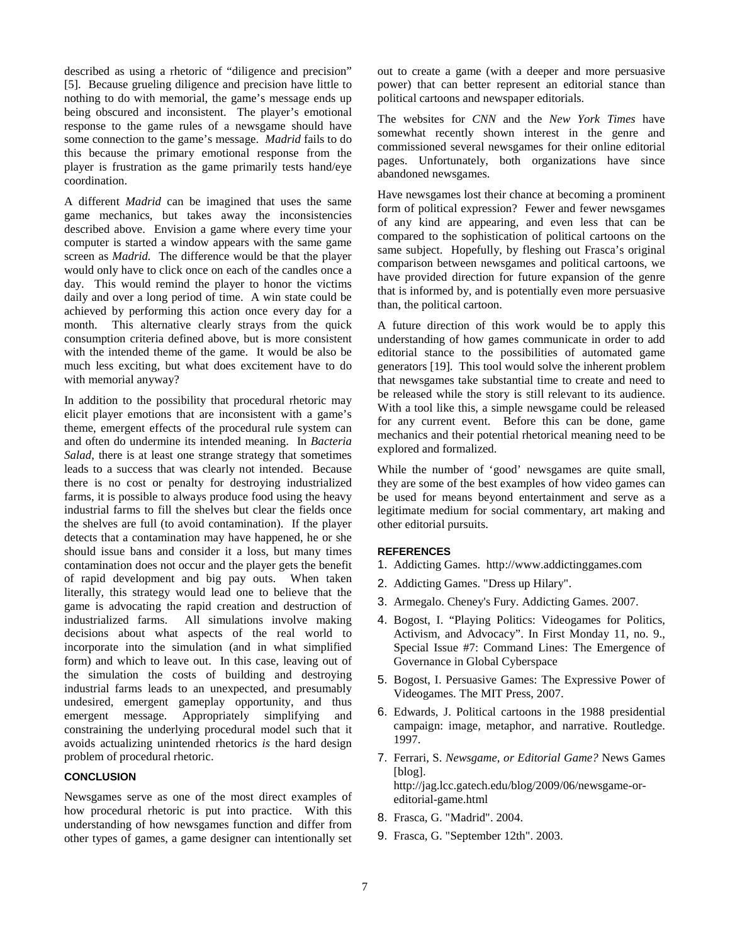described as using a rhetoric of "diligence and precision" [5]. Because grueling diligence and precision have little to nothing to do with memorial, the game's message ends up being obscured and inconsistent. The player's emotional response to the game rules of a newsgame should have some connection to the game's message. *Madrid* fails to do this because the primary emotional response from the player is frustration as the game primarily tests hand/eye coordination.

A different *Madrid* can be imagined that uses the same game mechanics, but takes away the inconsistencies described above. Envision a game where every time your computer is started a window appears with the same game screen as *Madrid.* The difference would be that the player would only have to click once on each of the candles once a day. This would remind the player to honor the victims daily and over a long period of time. A win state could be achieved by performing this action once every day for a month. This alternative clearly strays from the quick consumption criteria defined above, but is more consistent with the intended theme of the game. It would be also be much less exciting, but what does excitement have to do with memorial anyway?

In addition to the possibility that procedural rhetoric may elicit player emotions that are inconsistent with a game's theme, emergent effects of the procedural rule system can and often do undermine its intended meaning. In *Bacteria Salad*, there is at least one strange strategy that sometimes leads to a success that was clearly not intended. Because there is no cost or penalty for destroying industrialized farms, it is possible to always produce food using the heavy industrial farms to fill the shelves but clear the fields once the shelves are full (to avoid contamination). If the player detects that a contamination may have happened, he or she should issue bans and consider it a loss, but many times contamination does not occur and the player gets the benefit of rapid development and big pay outs. When taken literally, this strategy would lead one to believe that the game is advocating the rapid creation and destruction of industrialized farms. All simulations involve making decisions about what aspects of the real world to incorporate into the simulation (and in what simplified form) and which to leave out. In this case, leaving out of the simulation the costs of building and destroying industrial farms leads to an unexpected, and presumably undesired, emergent gameplay opportunity, and thus emergent message. Appropriately simplifying and constraining the underlying procedural model such that it avoids actualizing unintended rhetorics *is* the hard design problem of procedural rhetoric.

#### **CONCLUSION**

Newsgames serve as one of the most direct examples of how procedural rhetoric is put into practice. With this understanding of how newsgames function and differ from other types of games, a game designer can intentionally set

out to create a game (with a deeper and more persuasive power) that can better represent an editorial stance than political cartoons and newspaper editorials.

The websites for *CNN* and the *New York Times* have somewhat recently shown interest in the genre and commissioned several newsgames for their online editorial pages. Unfortunately, both organizations have since abandoned newsgames.

Have newsgames lost their chance at becoming a prominent form of political expression? Fewer and fewer newsgames of any kind are appearing, and even less that can be compared to the sophistication of political cartoons on the same subject. Hopefully, by fleshing out Frasca's original comparison between newsgames and political cartoons, we have provided direction for future expansion of the genre that is informed by, and is potentially even more persuasive than, the political cartoon.

A future direction of this work would be to apply this understanding of how games communicate in order to add editorial stance to the possibilities of automated game generators [19]. This tool would solve the inherent problem that newsgames take substantial time to create and need to be released while the story is still relevant to its audience. With a tool like this, a simple newsgame could be released for any current event. Before this can be done, game mechanics and their potential rhetorical meaning need to be explored and formalized.

While the number of 'good' newsgames are quite small, they are some of the best examples of how video games can be used for means beyond entertainment and serve as a legitimate medium for social commentary, art making and other editorial pursuits.

#### **REFERENCES**

- 1. Addicting Games. http://www.addictinggames.com
- 2. Addicting Games. "Dress up Hilary".
- 3. Armegalo. Cheney's Fury. Addicting Games. 2007.
- 4. Bogost, I. "Playing Politics: Videogames for Politics, Activism, and Advocacy". In First Monday 11, no. 9., Special Issue #7: Command Lines: The Emergence of Governance in Global Cyberspace
- 5. Bogost, I. Persuasive Games: The Expressive Power of Videogames. The MIT Press, 2007.
- 6. Edwards, J. Political cartoons in the 1988 presidential campaign: image, metaphor, and narrative. Routledge. 1997.
- 7. Ferrari, S. *Newsgame, or Editorial Game?* News Games [blog]. http://jag.lcc.gatech.edu/blog/2009/06/newsgame-oreditorial-game.html
- 8. Frasca, G. "Madrid". 2004.
- 9. Frasca, G. "September 12th". 2003.